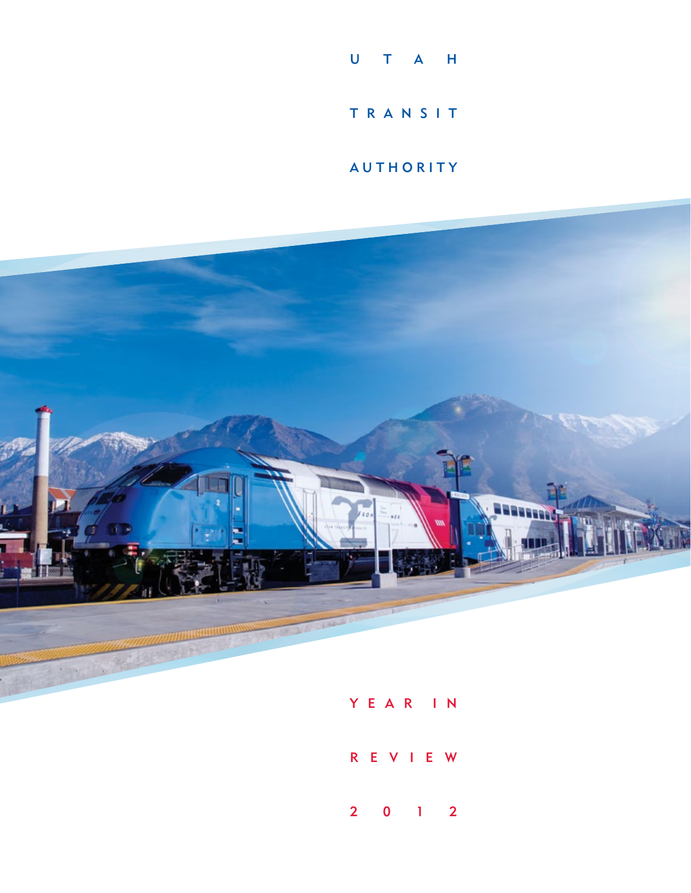

**AUTHORITY** 



Y E A R I N

R E V I E W

2012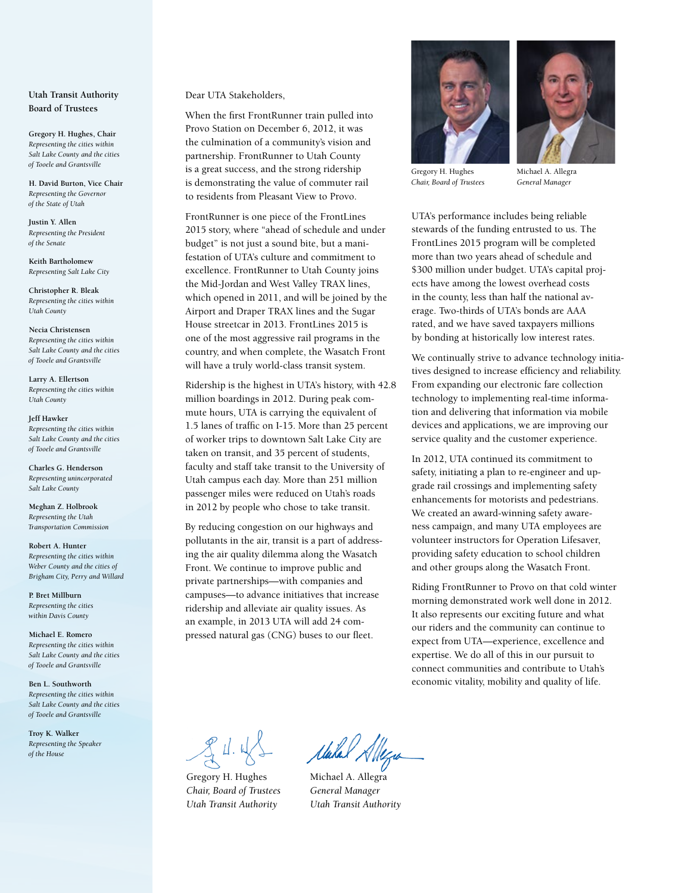# **Utah Transit Authority Board of Trustees**

**Gregory H. Hughes, Chair** *Representing the cities within Salt Lake County and the cities of Tooele and Grantsville*

**H. David Burton, Vice Chair** *Representing the Governor of the State of Utah*

**Justin Y. Allen** *Representing the President of the Senate*

**Keith Bartholomew** *Representing Salt Lake City*

**Christopher R. Bleak** *Representing the cities within Utah County*

**Necia Christensen** *Representing the cities within Salt Lake County and the cities of Tooele and Grantsville*

**Larry A. Ellertson** *Representing the cities within Utah County*

**Jeff Hawker** *Representing the cities within Salt Lake County and the cities of Tooele and Grantsville*

**Charles G. Henderson** *Representing unincorporated Salt Lake County*

**Meghan Z. Holbrook** *Representing the Utah Transportation Commission*

**Robert A. Hunter** *Representing the cities within Weber County and the cities of Brigham City, Perry and Willard*

**P. Bret Millburn** *Representing the cities within Davis County*

**Michael E. Romero** *Representing the cities within Salt Lake County and the cities of Tooele and Grantsville*

**Ben L. Southworth** *Representing the cities within Salt Lake County and the cities of Tooele and Grantsville*

**Troy K. Walker** *Representing the Speaker of the House*

Dear UTA Stakeholders,

When the first FrontRunner train pulled into Provo Station on December 6, 2012, it was the culmination of a community's vision and partnership. FrontRunner to Utah County is a great success, and the strong ridership is demonstrating the value of commuter rail to residents from Pleasant View to Provo.

FrontRunner is one piece of the FrontLines 2015 story, where "ahead of schedule and under budget" is not just a sound bite, but a manifestation of UTA's culture and commitment to excellence. FrontRunner to Utah County joins the Mid-Jordan and West Valley TRAX lines, which opened in 2011, and will be joined by the Airport and Draper TRAX lines and the Sugar House streetcar in 2013. FrontLines 2015 is one of the most aggressive rail programs in the country, and when complete, the Wasatch Front will have a truly world-class transit system.

Ridership is the highest in UTA's history, with 42.8 million boardings in 2012. During peak commute hours, UTA is carrying the equivalent of 1.5 lanes of traffic on I-15. More than 25 percent of worker trips to downtown Salt Lake City are taken on transit, and 35 percent of students, faculty and staff take transit to the University of Utah campus each day. More than 251 million passenger miles were reduced on Utah's roads in 2012 by people who chose to take transit.

By reducing congestion on our highways and pollutants in the air, transit is a part of addressing the air quality dilemma along the Wasatch Front. We continue to improve public and private partnerships—with companies and campuses—to advance initiatives that increase ridership and alleviate air quality issues. As an example, in 2013 UTA will add 24 compressed natural gas (CNG) buses to our fleet.





Michael A. Allegra *General Manager*

UTA's performance includes being reliable stewards of the funding entrusted to us. The FrontLines 2015 program will be completed more than two years ahead of schedule and \$300 million under budget. UTA's capital projects have among the lowest overhead costs in the county, less than half the national average. Two-thirds of UTA's bonds are AAA rated, and we have saved taxpayers millions by bonding at historically low interest rates.

We continually strive to advance technology initiatives designed to increase efficiency and reliability. From expanding our electronic fare collection technology to implementing real-time information and delivering that information via mobile devices and applications, we are improving our service quality and the customer experience.

In 2012, UTA continued its commitment to safety, initiating a plan to re-engineer and upgrade rail crossings and implementing safety enhancements for motorists and pedestrians. We created an award-winning safety awareness campaign, and many UTA employees are volunteer instructors for Operation Lifesaver, providing safety education to school children and other groups along the Wasatch Front.

Riding FrontRunner to Provo on that cold winter morning demonstrated work well done in 2012. It also represents our exciting future and what our riders and the community can continue to expect from UTA—experience, excellence and expertise. We do all of this in our pursuit to connect communities and contribute to Utah's economic vitality, mobility and quality of life.

 $24.41$ 

Gregory H. Hughes *Chair, Board of Trustees Utah Transit Authority*

Makel Allegia

Michael A. Allegra *General Manager Utah Transit Authority*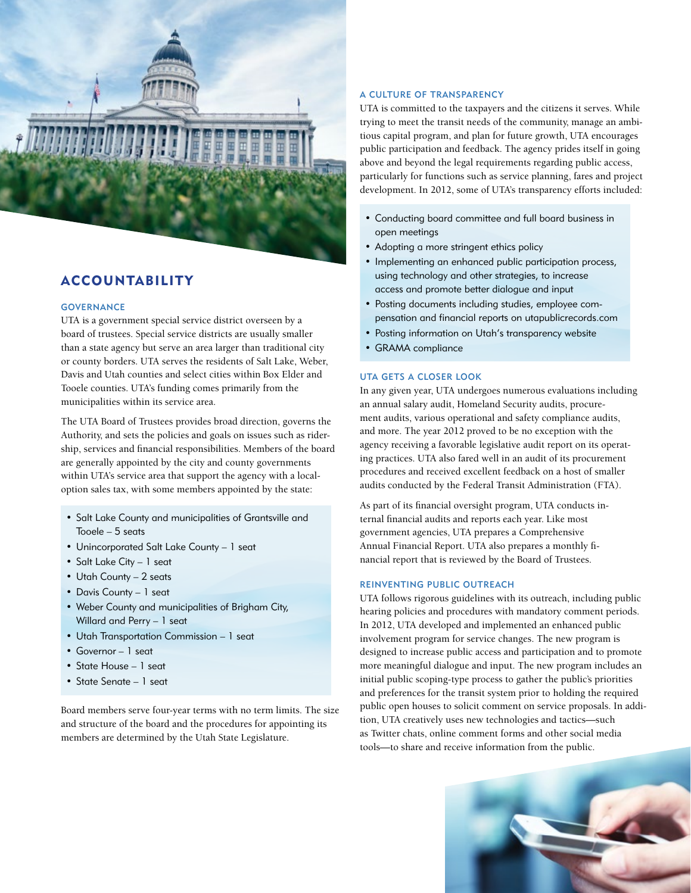

# **ACCOUNTABILITY**

# **GOVERNANCE**

UTA is a government special service district overseen by a board of trustees. Special service districts are usually smaller than a state agency but serve an area larger than traditional city or county borders. UTA serves the residents of Salt Lake, Weber, Davis and Utah counties and select cities within Box Elder and Tooele counties. UTA's funding comes primarily from the municipalities within its service area.

The UTA Board of Trustees provides broad direction, governs the Authority, and sets the policies and goals on issues such as ridership, services and financial responsibilities. Members of the board are generally appointed by the city and county governments within UTA's service area that support the agency with a localoption sales tax, with some members appointed by the state:

- Salt Lake County and municipalities of Grantsville and Tooele – 5 seats
- Unincorporated Salt Lake County 1 seat
- Salt Lake City 1 seat
- Utah County 2 seats
- Davis County 1 seat
- Weber County and municipalities of Brigham City, Willard and Perry – 1 seat
- Utah Transportation Commission 1 seat
- Governor 1 seat
- State House 1 seat
- State Senate 1 seat

Board members serve four-year terms with no term limits. The size and structure of the board and the procedures for appointing its members are determined by the Utah State Legislature.

# A Culture of Transparency

UTA is committed to the taxpayers and the citizens it serves. While trying to meet the transit needs of the community, manage an ambitious capital program, and plan for future growth, UTA encourages public participation and feedback. The agency prides itself in going above and beyond the legal requirements regarding public access, particularly for functions such as service planning, fares and project development. In 2012, some of UTA's transparency efforts included:

- Conducting board committee and full board business in open meetings
- Adopting a more stringent ethics policy
- Implementing an enhanced public participation process, using technology and other strategies, to increase access and promote better dialogue and input
- Posting documents including studies, employee compensation and financial reports on utapublicrecords.com
- Posting information on Utah's transparency website
- GRAMA compliance

# UTA Gets a Closer Look

In any given year, UTA undergoes numerous evaluations including an annual salary audit, Homeland Security audits, procurement audits, various operational and safety compliance audits, and more. The year 2012 proved to be no exception with the agency receiving a favorable legislative audit report on its operating practices. UTA also fared well in an audit of its procurement procedures and received excellent feedback on a host of smaller audits conducted by the Federal Transit Administration (FTA).

As part of its financial oversight program, UTA conducts internal financial audits and reports each year. Like most government agencies, UTA prepares a Comprehensive Annual Financial Report. UTA also prepares a monthly financial report that is reviewed by the Board of Trustees.

# Reinventing Public Outreach

UTA follows rigorous guidelines with its outreach, including public hearing policies and procedures with mandatory comment periods. In 2012, UTA developed and implemented an enhanced public involvement program for service changes. The new program is designed to increase public access and participation and to promote more meaningful dialogue and input. The new program includes an initial public scoping-type process to gather the public's priorities and preferences for the transit system prior to holding the required public open houses to solicit comment on service proposals. In addition, UTA creatively uses new technologies and tactics—such as Twitter chats, online comment forms and other social media tools—to share and receive information from the public.

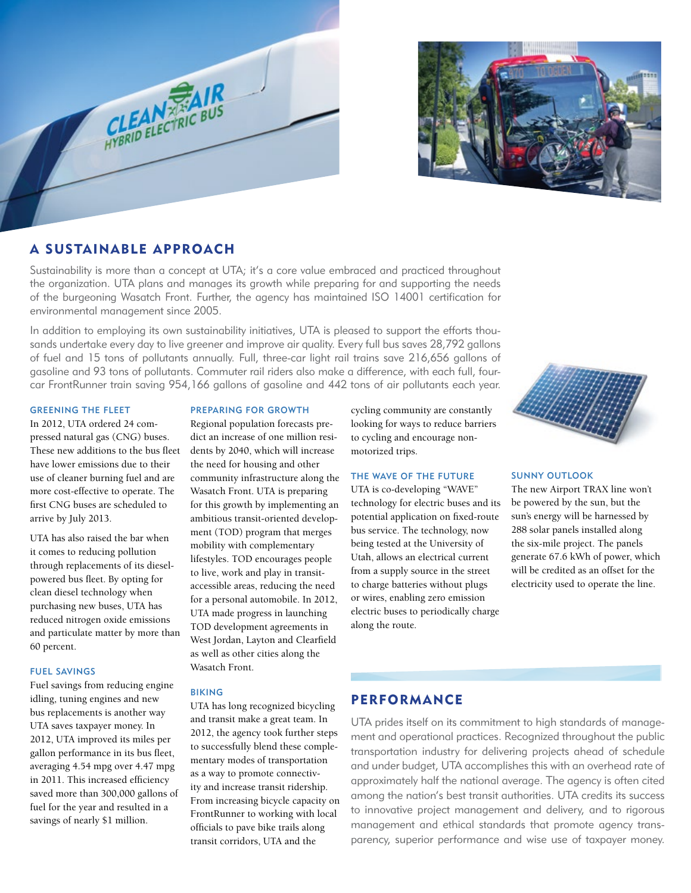



# A Sustainable Approach

Sustainability is more than a concept at UTA; it's a core value embraced and practiced throughout the organization. UTA plans and manages its growth while preparing for and supporting the needs of the burgeoning Wasatch Front. Further, the agency has maintained ISO 14001 certification for environmental management since 2005.

In addition to employing its own sustainability initiatives, UTA is pleased to support the efforts thousands undertake every day to live greener and improve air quality. Every full bus saves 28,792 gallons of fuel and 15 tons of pollutants annually. Full, three-car light rail trains save 216,656 gallons of gasoline and 93 tons of pollutants. Commuter rail riders also make a difference, with each full, fourcar FrontRunner train saving 954,166 gallons of gasoline and 442 tons of air pollutants each year.

### Greening the Fleet

In 2012, UTA ordered 24 compressed natural gas (CNG) buses. These new additions to the bus fleet have lower emissions due to their use of cleaner burning fuel and are more cost-effective to operate. The first CNG buses are scheduled to arrive by July 2013.

UTA has also raised the bar when it comes to reducing pollution through replacements of its dieselpowered bus fleet. By opting for clean diesel technology when purchasing new buses, UTA has reduced nitrogen oxide emissions and particulate matter by more than 60 percent.

# Fuel Savings

Fuel savings from reducing engine idling, tuning engines and new bus replacements is another way UTA saves taxpayer money. In 2012, UTA improved its miles per gallon performance in its bus fleet, averaging 4.54 mpg over 4.47 mpg in 2011. This increased efficiency saved more than 300,000 gallons of fuel for the year and resulted in a savings of nearly \$1 million.

# Preparing for Growth

Regional population forecasts predict an increase of one million residents by 2040, which will increase the need for housing and other community infrastructure along the Wasatch Front. UTA is preparing for this growth by implementing an ambitious transit-oriented development (TOD) program that merges mobility with complementary lifestyles. TOD encourages people to live, work and play in transitaccessible areas, reducing the need for a personal automobile. In 2012, UTA made progress in launching TOD development agreements in West Jordan, Layton and Clearfield as well as other cities along the Wasatch Front.

#### Biking

UTA has long recognized bicycling and transit make a great team. In 2012, the agency took further steps to successfully blend these complementary modes of transportation as a way to promote connectivity and increase transit ridership. From increasing bicycle capacity on FrontRunner to working with local officials to pave bike trails along transit corridors, UTA and the

cycling community are constantly looking for ways to reduce barriers to cycling and encourage nonmotorized trips.

# The Wave of the Future

UTA is co-developing "WAVE" technology for electric buses and its potential application on fixed-route bus service. The technology, now being tested at the University of Utah, allows an electrical current from a supply source in the street to charge batteries without plugs or wires, enabling zero emission electric buses to periodically charge along the route.



# Sunny Outlook

The new Airport TRAX line won't be powered by the sun, but the sun's energy will be harnessed by 288 solar panels installed along the six-mile project. The panels generate 67.6 kWh of power, which will be credited as an offset for the electricity used to operate the line.

# **PERFORMANCE**

UTA prides itself on its commitment to high standards of management and operational practices. Recognized throughout the public transportation industry for delivering projects ahead of schedule and under budget, UTA accomplishes this with an overhead rate of approximately half the national average. The agency is often cited among the nation's best transit authorities. UTA credits its success to innovative project management and delivery, and to rigorous management and ethical standards that promote agency transparency, superior performance and wise use of taxpayer money.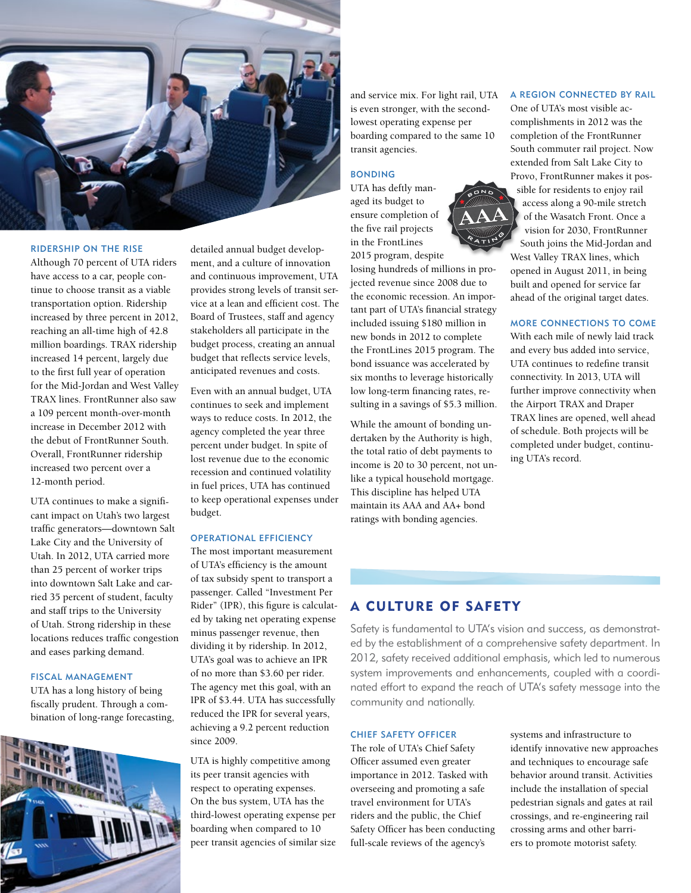

# Ridership on the Rise

Although 70 percent of UTA riders have access to a car, people continue to choose transit as a viable transportation option. Ridership increased by three percent in 2012, reaching an all-time high of 42.8 million boardings. TRAX ridership increased 14 percent, largely due to the first full year of operation for the Mid-Jordan and West Valley TRAX lines. FrontRunner also saw a 109 percent month-over-month increase in December 2012 with the debut of FrontRunner South. Overall, FrontRunner ridership increased two percent over a 12-month period.

UTA continues to make a significant impact on Utah's two largest traffic generators—downtown Salt Lake City and the University of Utah. In 2012, UTA carried more than 25 percent of worker trips into downtown Salt Lake and carried 35 percent of student, faculty and staff trips to the University of Utah. Strong ridership in these locations reduces traffic congestion and eases parking demand.

# Fiscal Management

UTA has a long history of being fiscally prudent. Through a combination of long-range forecasting,



detailed annual budget development, and a culture of innovation and continuous improvement, UTA provides strong levels of transit service at a lean and efficient cost. The Board of Trustees, staff and agency stakeholders all participate in the budget process, creating an annual budget that reflects service levels, anticipated revenues and costs.

Even with an annual budget, UTA continues to seek and implement ways to reduce costs. In 2012, the agency completed the year three percent under budget. In spite of lost revenue due to the economic recession and continued volatility in fuel prices, UTA has continued to keep operational expenses under budget.

# Operational Efficiency

The most important measurement of UTA's efficiency is the amount of tax subsidy spent to transport a passenger. Called "Investment Per Rider" (IPR), this figure is calculated by taking net operating expense minus passenger revenue, then dividing it by ridership. In 2012, UTA's goal was to achieve an IPR of no more than \$3.60 per rider. The agency met this goal, with an IPR of \$3.44. UTA has successfully reduced the IPR for several years, achieving a 9.2 percent reduction since 2009.

UTA is highly competitive among its peer transit agencies with respect to operating expenses. On the bus system, UTA has the third-lowest operating expense per boarding when compared to 10 peer transit agencies of similar size

and service mix. For light rail, UTA is even stronger, with the secondlowest operating expense per boarding compared to the same 10 *A* transit agencies.

# **BONDING**

UTA has deftly managed its budget to ensure completion of the five rail projects in the FrontLines 2015 program, despite

> losing hundreds of millions in projected revenue since 2008 due to the economic recession. An important part of UTA's financial strategy included issuing \$180 million in new bonds in 2012 to complete the FrontLines 2015 program. The bond issuance was accelerated by six months to leverage historically low long-term financing rates, resulting in a savings of \$5.3 million.

> While the amount of bonding undertaken by the Authority is high, the total ratio of debt payments to income is 20 to 30 percent, not unlike a typical household mortgage. This discipline has helped UTA maintain its AAA and AA+ bond ratings with bonding agencies.

# A Region Connected by Rail

One of UTA's most visible accomplishments in 2012 was the completion of the FrontRunner South commuter rail project. Now extended from Salt Lake City to Provo, FrontRunner makes it possible for residents to enjoy rail access along a 90-mile stretch of the Wasatch Front. Once a vision for 2030, FrontRunner South joins the Mid-Jordan and West Valley TRAX lines, which opened in August 2011, in being built and opened for service far ahead of the original target dates.

More Connections to Come

With each mile of newly laid track and every bus added into service, UTA continues to redefine transit connectivity. In 2013, UTA will further improve connectivity when the Airport TRAX and Draper TRAX lines are opened, well ahead of schedule. Both projects will be completed under budget, continuing UTA's record.

# A Culture of Safety

Safety is fundamental to UTA's vision and success, as demonstrated by the establishment of a comprehensive safety department. In 2012, safety received additional emphasis, which led to numerous system improvements and enhancements, coupled with a coordinated effort to expand the reach of UTA's safety message into the community and nationally.

#### Chief Safety Officer

The role of UTA's Chief Safety Officer assumed even greater importance in 2012. Tasked with overseeing and promoting a safe travel environment for UTA's riders and the public, the Chief Safety Officer has been conducting full-scale reviews of the agency's

systems and infrastructure to identify innovative new approaches and techniques to encourage safe behavior around transit. Activities include the installation of special pedestrian signals and gates at rail crossings, and re-engineering rail crossing arms and other barriers to promote motorist safety.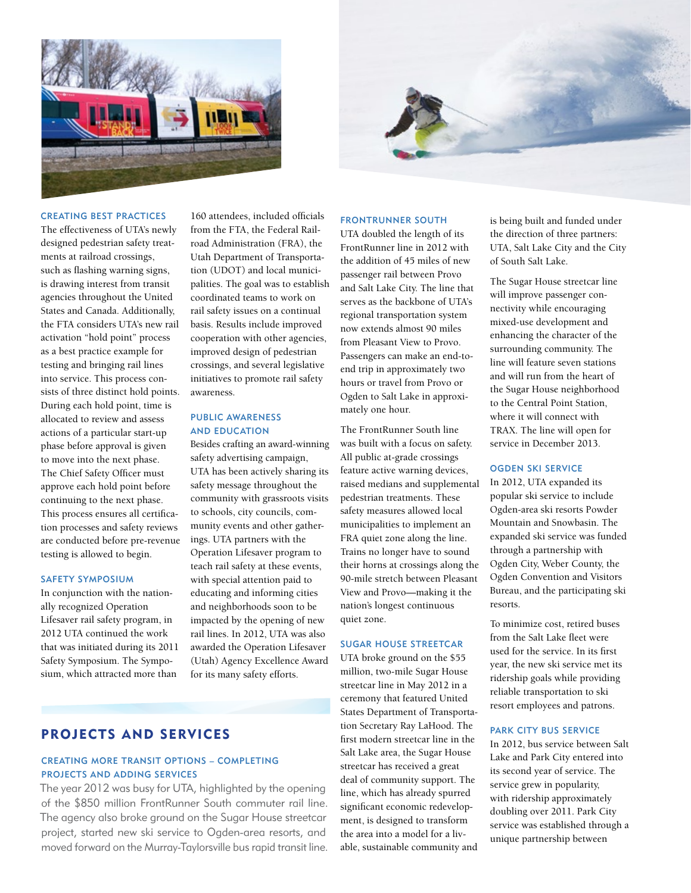



## Creating Best Practices

The effectiveness of UTA's newly designed pedestrian safety treatments at railroad crossings, such as flashing warning signs, is drawing interest from transit agencies throughout the United States and Canada. Additionally, the FTA considers UTA's new rail activation "hold point" process as a best practice example for testing and bringing rail lines into service. This process consists of three distinct hold points. During each hold point, time is allocated to review and assess actions of a particular start-up phase before approval is given to move into the next phase. The Chief Safety Officer must approve each hold point before continuing to the next phase. This process ensures all certification processes and safety reviews are conducted before pre-revenue testing is allowed to begin.

# SAFETY SYMPOSIUM

In conjunction with the nationally recognized Operation Lifesaver rail safety program, in 2012 UTA continued the work that was initiated during its 2011 Safety Symposium. The Symposium, which attracted more than

160 attendees, included officials from the FTA, the Federal Railroad Administration (FRA), the Utah Department of Transportation (UDOT) and local municipalities. The goal was to establish coordinated teams to work on rail safety issues on a continual basis. Results include improved cooperation with other agencies, improved design of pedestrian crossings, and several legislative initiatives to promote rail safety awareness.

# Public Awareness and Education

Besides crafting an award-winning safety advertising campaign, UTA has been actively sharing its safety message throughout the community with grassroots visits to schools, city councils, community events and other gatherings. UTA partners with the Operation Lifesaver program to teach rail safety at these events, with special attention paid to educating and informing cities and neighborhoods soon to be impacted by the opening of new rail lines. In 2012, UTA was also awarded the Operation Lifesaver (Utah) Agency Excellence Award for its many safety efforts.

#### FrontRunner South

UTA doubled the length of its FrontRunner line in 2012 with the addition of 45 miles of new passenger rail between Provo and Salt Lake City. The line that serves as the backbone of UTA's regional transportation system now extends almost 90 miles from Pleasant View to Provo. Passengers can make an end-toend trip in approximately two hours or travel from Provo or Ogden to Salt Lake in approximately one hour.

The FrontRunner South line was built with a focus on safety. All public at-grade crossings feature active warning devices, raised medians and supplemental pedestrian treatments. These safety measures allowed local municipalities to implement an FRA quiet zone along the line. Trains no longer have to sound their horns at crossings along the 90-mile stretch between Pleasant View and Provo—making it the nation's longest continuous quiet zone.

# Sugar House Streetcar

UTA broke ground on the \$55 million, two-mile Sugar House streetcar line in May 2012 in a ceremony that featured United States Department of Transportation Secretary Ray LaHood. The first modern streetcar line in the Salt Lake area, the Sugar House streetcar has received a great deal of community support. The line, which has already spurred significant economic redevelopment, is designed to transform the area into a model for a livable, sustainable community and is being built and funded under the direction of three partners: UTA, Salt Lake City and the City of South Salt Lake.

The Sugar House streetcar line will improve passenger connectivity while encouraging mixed-use development and enhancing the character of the surrounding community. The line will feature seven stations and will run from the heart of the Sugar House neighborhood to the Central Point Station, where it will connect with TRAX. The line will open for service in December 2013.

#### Ogden Ski Service

In 2012, UTA expanded its popular ski service to include Ogden-area ski resorts Powder Mountain and Snowbasin. The expanded ski service was funded through a partnership with Ogden City, Weber County, the Ogden Convention and Visitors Bureau, and the participating ski resorts.

To minimize cost, retired buses from the Salt Lake fleet were used for the service. In its first year, the new ski service met its ridership goals while providing reliable transportation to ski resort employees and patrons.

#### PARK CITY BUS SERVICE

In 2012, bus service between Salt Lake and Park City entered into its second year of service. The service grew in popularity, with ridership approximately doubling over 2011. Park City service was established through a unique partnership between

# Projects and Services

# Creating More Transit Options – Completing Projects and Adding Services

The year 2012 was busy for UTA, highlighted by the opening of the \$850 million FrontRunner South commuter rail line. The agency also broke ground on the Sugar House streetcar project, started new ski service to Ogden-area resorts, and moved forward on the Murray-Taylorsville bus rapid transit line.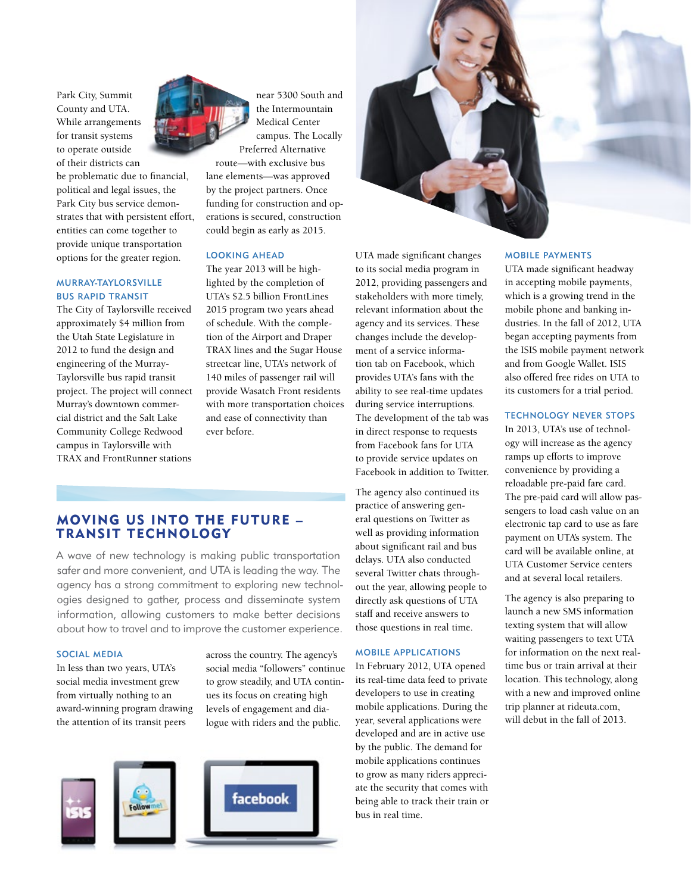Park City, Summit County and UTA. While arrangements for transit systems to operate outside of their districts can

be problematic due to financial, political and legal issues, the Park City bus service demonstrates that with persistent effort, entities can come together to provide unique transportation options for the greater region.

# Murray-Taylorsville Bus Rapid Transit

The City of Taylorsville received approximately \$4 million from the Utah State Legislature in 2012 to fund the design and engineering of the Murray-Taylorsville bus rapid transit project. The project will connect Murray's downtown commercial district and the Salt Lake Community College Redwood campus in Taylorsville with TRAX and FrontRunner stations

near 5300 South and the Intermountain Medical Center campus. The Locally Preferred Alternative

route—with exclusive bus lane elements—was approved by the project partners. Once funding for construction and operations is secured, construction could begin as early as 2015.

# Looking Ahead

The year 2013 will be highlighted by the completion of UTA's \$2.5 billion FrontLines 2015 program two years ahead of schedule. With the completion of the Airport and Draper TRAX lines and the Sugar House streetcar line, UTA's network of 140 miles of passenger rail will provide Wasatch Front residents with more transportation choices and ease of connectivity than ever before.

# Moving Us into the Future – Transit Technology

A wave of new technology is making public transportation safer and more convenient, and UTA is leading the way. The agency has a strong commitment to exploring new technologies designed to gather, process and disseminate system information, allowing customers to make better decisions about how to travel and to improve the customer experience.

# Social Media

In less than two years, UTA's social media investment grew from virtually nothing to an award-winning program drawing the attention of its transit peers

across the country. The agency's social media "followers" continue to grow steadily, and UTA continues its focus on creating high levels of engagement and dialogue with riders and the public.





UTA made significant changes to its social media program in 2012, providing passengers and stakeholders with more timely, relevant information about the agency and its services. These changes include the development of a service information tab on Facebook, which provides UTA's fans with the ability to see real-time updates during service interruptions. The development of the tab was in direct response to requests from Facebook fans for UTA to provide service updates on Facebook in addition to Twitter.

The agency also continued its practice of answering general questions on Twitter as well as providing information about significant rail and bus delays. UTA also conducted several Twitter chats throughout the year, allowing people to directly ask questions of UTA staff and receive answers to those questions in real time.

#### Mobile Applications

In February 2012, UTA opened its real-time data feed to private developers to use in creating mobile applications. During the year, several applications were developed and are in active use by the public. The demand for mobile applications continues to grow as many riders appreciate the security that comes with being able to track their train or bus in real time.

#### Mobile Payments

UTA made significant headway in accepting mobile payments, which is a growing trend in the mobile phone and banking industries. In the fall of 2012, UTA began accepting payments from the ISIS mobile payment network and from Google Wallet. ISIS also offered free rides on UTA to its customers for a trial period.

#### Technology Never Stops

In 2013, UTA's use of technology will increase as the agency ramps up efforts to improve convenience by providing a reloadable pre-paid fare card. The pre-paid card will allow passengers to load cash value on an electronic tap card to use as fare payment on UTA's system. The card will be available online, at UTA Customer Service centers and at several local retailers.

The agency is also preparing to launch a new SMS information texting system that will allow waiting passengers to text UTA for information on the next realtime bus or train arrival at their location. This technology, along with a new and improved online trip planner at rideuta.com, will debut in the fall of 2013.